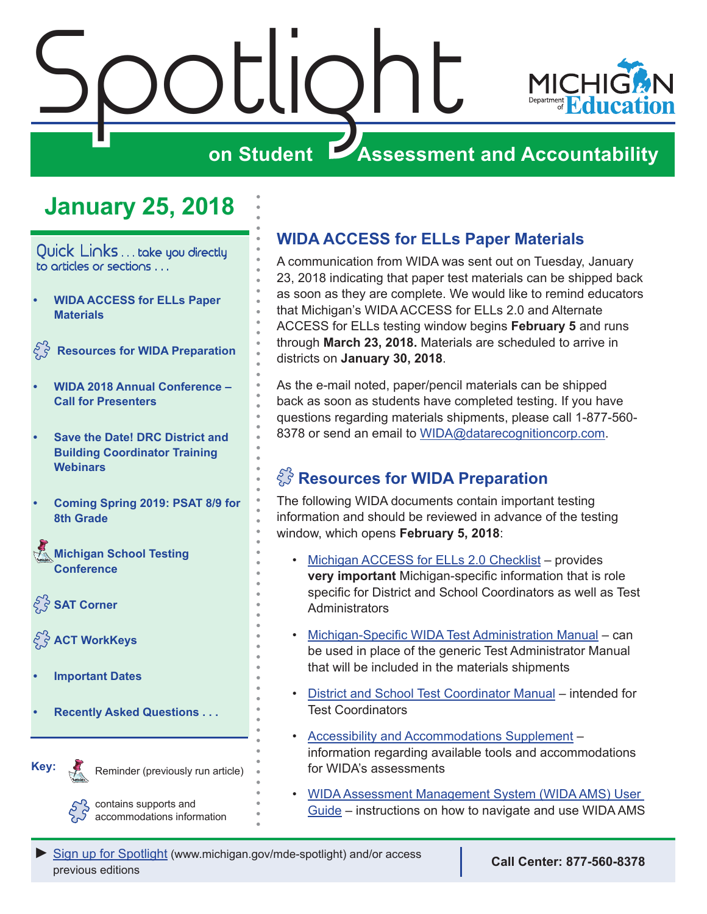<span id="page-0-0"></span>

# **January 25, 2018**

Quick Links . . . take you directly to articles or sections . . .

**• WIDA ACCESS for ELLs Paper Materials**

 **Resources for WIDA Preparation** 

- **• [WIDA 2018 Annual Conference –](#page-1-0) [Call for Presenters](#page-1-0)**
- **• [Save the Date! DRC District and](#page-1-0) [Building Coordinator Training](#page-1-0) [Webinars](#page-1-0)**
- **• [Coming Spring 2019: PSAT 8/9 for](#page-2-0) [8th Grade](#page-2-0)**

Reminders **[Michigan School Testing](#page-2-0)  [Conference](#page-2-0)** 

 $\mathcal{E}$  s SAT Corner

**[ACT WorkKeys](#page-4-0)** 

**• [Important Dates](#page-6-0)**

Reminders

**Key:**

**• [Recently Asked Questions . . .](#page-8-0)**

Reminder (previously run article)

accommodations information

## **WIDA ACCESS for ELLs Paper Materials**

A communication from WIDA was sent out on Tuesday, January 23, 2018 indicating that paper test materials can be shipped back as soon as they are complete. We would like to remind educators that Michigan's WIDA ACCESS for ELLs 2.0 and Alternate ACCESS for ELLs testing window begins **February 5** and runs through **March 23, 2018.** Materials are scheduled to arrive in districts on **January 30, 2018**.

As the e-mail noted, paper/pencil materials can be shipped back as soon as students have completed testing. If you have questions regarding materials shipments, please call 1-877-560- 8378 or send an email to [WIDA@datarecognitioncorp.com](mailto:WIDA%40datarecognitioncorp.com?subject=).

# $\mathbb{C}^3$  Resources for WIDA Preparation

The following WIDA documents contain important testing information and should be reviewed in advance of the testing window, which opens **February 5, 2018**:

- [Michigan ACCESS for ELLs 2.0 Checklist](https://www.wida.us/membership/checklists/MI-checklist.pdf)  provides **very important** Michigan-specific information that is role specific for District and School Coordinators as well as Test **Administrators**
- [Michigan-Specific WIDA Test Administration Manual](http://www.michigan.gov/documents/mde/S18_WIDA_TAM_608543_7.pdf) can be used in place of the generic Test Administrator Manual that will be included in the materials shipments
- [District and School Test Coordinator Manual](https://www.wida.us/assessment/access 2.0/documents/2017DistrictSchoolTestCoordinatorManual.pdf) intended for Test Coordinators
- [Accessibility and Accommodations Supplement](https://www.wida.us/assessment/access 2.0/documents/AccessibilityandAccommodationsSupplement.pdf)  information regarding available tools and accommodations for WIDA's assessments
- [WIDA Assessment Management System \(WIDA AMS\) User](https://www.wida.us/assessment/AMS/WIDA_AMS_User_Guide_2017.pdf) [Guide](https://www.wida.us/assessment/AMS/WIDA_AMS_User_Guide_2017.pdf) – instructions on how to navigate and use WIDA AMS contains supports and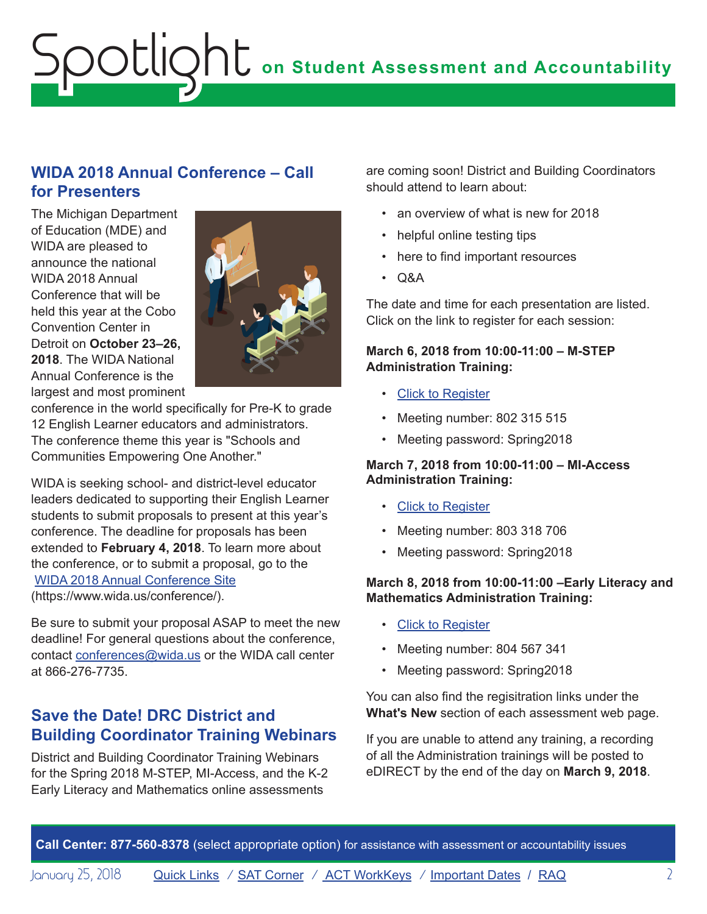# <span id="page-1-0"></span>**on Student Assessment and Accountability** Spotlight

### **WIDA 2018 Annual Conference – Call for Presenters**

The Michigan Department of Education (MDE) and WIDA are pleased to announce the national WIDA 2018 Annual Conference that will be held this year at the Cobo Convention Center in Detroit on **October 23–26, 2018**. The WIDA National Annual Conference is the largest and most prominent



conference in the world specifically for Pre-K to grade 12 English Learner educators and administrators. The conference theme this year is "Schools and Communities Empowering One Another."

WIDA is seeking school- and district-level educator leaders dedicated to supporting their English Learner students to submit proposals to present at this year's conference. The deadline for proposals has been extended to **February 4, 2018**. To learn more about the conference, or to submit a proposal, go to the [WIDA 2018 Annual Conference Site](https://www.wida.us/conference/) ([https://www.wida.us/conference/\)](https://www.wida.us/conference/).

Be sure to submit your proposal ASAP to meet the new deadline! For general questions about the conference, contact [conferences@wida.us](mailto:conferences%40wida.us?subject=) or the WIDA call center at 866-276-7735.

## **Save the Date! DRC District and Building Coordinator Training Webinars**

District and Building Coordinator Training Webinars for the Spring 2018 M-STEP, MI-Access, and the K-2 Early Literacy and Mathematics online assessments

are coming soon! District and Building Coordinators should attend to learn about:

- an overview of what is new for 2018
- helpful online testing tips
- here to find important resources
- Q&A

The date and time for each presentation are listed. Click on the link to register for each session:

#### **March 6, 2018 from 10:00-11:00 – M-STEP Administration Training:**

- Click to Register
- Meeting number: 802 315 515
- Meeting password: Spring2018

#### **March 7, 2018 from 10:00-11:00 – MI-Access Administration Training:**

- Click to Register
- Meeting number: 803 318 706
- Meeting password: Spring2018

#### **March 8, 2018 from 10:00-11:00 –Early Literacy and Mathematics Administration Training:**

- Click to Register
- Meeting number: 804 567 341
- Meeting password: Spring2018

You can also find the regisitration links under the **What's New** section of each assessment web page.

If you are unable to attend any training, a recording of all the Administration trainings will be posted to eDIRECT by the end of the day on **March 9, 2018**.

**Call Center: 877-560-8378** (select appropriate option) for assistance with assessment or accountability issues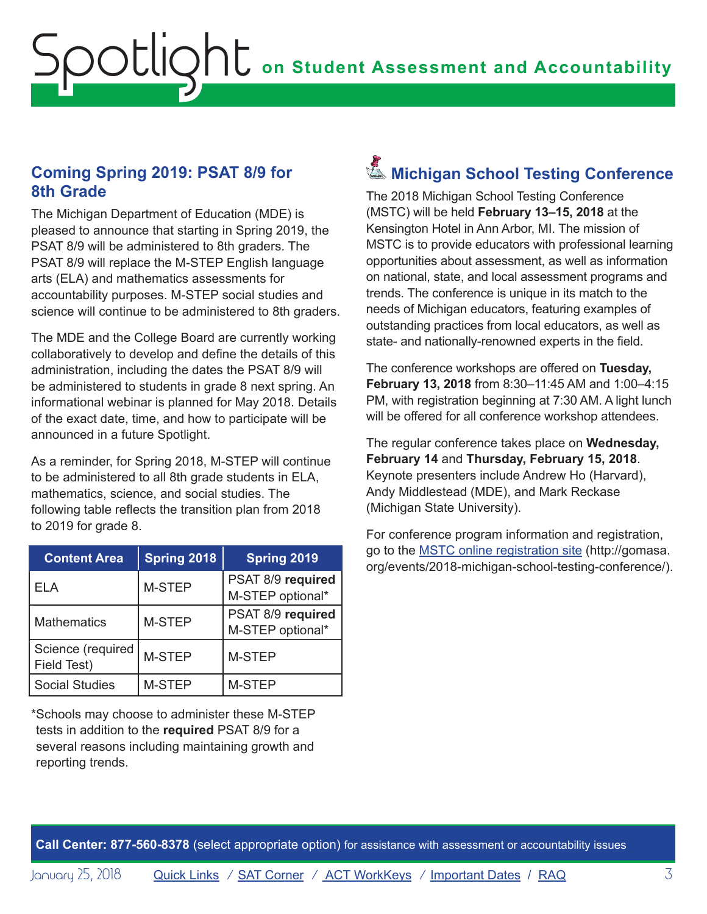# <span id="page-2-0"></span>**on Student Assessment and Accountability** Spotlight

### **Coming Spring 2019: PSAT 8/9 for 8th Grade**

The Michigan Department of Education (MDE) is pleased to announce that starting in Spring 2019, the PSAT 8/9 will be administered to 8th graders. The PSAT 8/9 will replace the M-STEP English language arts (ELA) and mathematics assessments for accountability purposes. M-STEP social studies and science will continue to be administered to 8th graders.

The MDE and the College Board are currently working collaboratively to develop and define the details of this administration, including the dates the PSAT 8/9 will be administered to students in grade 8 next spring. An informational webinar is planned for May 2018. Details of the exact date, time, and how to participate will be announced in a future Spotlight.

As a reminder, for Spring 2018, M-STEP will continue to be administered to all 8th grade students in ELA, mathematics, science, and social studies. The following table reflects the transition plan from 2018 to 2019 for grade 8.

| <b>Content Area</b>              | Spring 2018 | Spring 2019                           |
|----------------------------------|-------------|---------------------------------------|
| ELA                              | M-STEP      | PSAT 8/9 required<br>M-STEP optional* |
| <b>Mathematics</b>               | M-STEP      | PSAT 8/9 required<br>M-STEP optional* |
| Science (required<br>Field Test) | M-STEP      | M-STEP                                |
| <b>Social Studies</b>            | M-STEP      | <b>M-STEP</b>                         |

\*Schools may choose to administer these M-STEP tests in addition to the **required** PSAT 8/9 for a several reasons including maintaining growth and reporting trends.

# Reminders **Michigan School Testing Conference**

The 2018 Michigan School Testing Conference (MSTC) will be held **February 13–15, 2018** at the Kensington Hotel in Ann Arbor, MI. The mission of MSTC is to provide educators with professional learning opportunities about assessment, as well as information on national, state, and local assessment programs and trends. The conference is unique in its match to the needs of Michigan educators, featuring examples of outstanding practices from local educators, as well as state- and nationally-renowned experts in the field.

The conference workshops are offered on **Tuesday, February 13, 2018** from 8:30–11:45 AM and 1:00–4:15 PM, with registration beginning at 7:30 AM. A light lunch will be offered for all conference workshop attendees.

The regular conference takes place on **Wednesday, February 14** and **Thursday, February 15, 2018**. Keynote presenters include Andrew Ho (Harvard), Andy Middlestead (MDE), and Mark Reckase (Michigan State University).

For conference program information and registration, go to the [MSTC online registration site](http://gomasa.org/events/2018-michigan-school-testing-conference/) [\(http://gomasa.](http://gomasa.org/events/2018-michigan-school-testing-conference/) [org/events/2018-michigan-school-testing-conference/\)](http://gomasa.org/events/2018-michigan-school-testing-conference/).

**Call Center: 877-560-8378** (select appropriate option) for assistance with assessment or accountability issues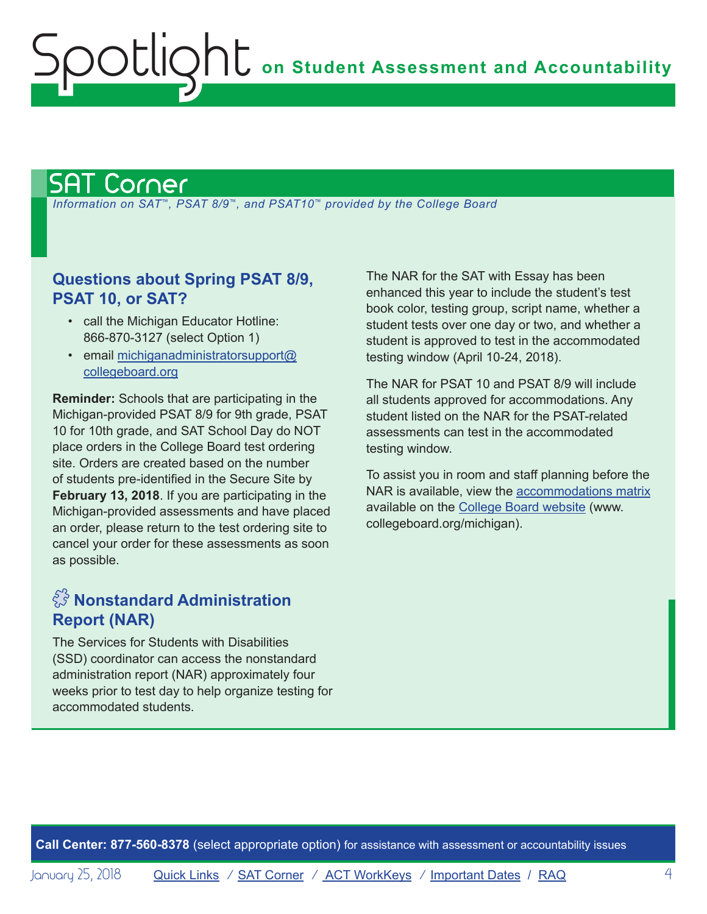# <span id="page-3-1"></span>SAT Corner

<span id="page-3-0"></span>Spotlight

 *Information on SAT*™*, PSAT 8/9*™*, and PSAT10*™ *provided by the College Board*

### **Questions about Spring PSAT 8/9, PSAT 10, or SAT?**

- call the Michigan Educator Hotline: 866-870-3127 (select Option 1)
- email [michiganadministratorsupport@](mailto:michiganadministratorsupport%40collegeboard.org?subject=) [collegeboard.org](mailto:michiganadministratorsupport%40collegeboard.org?subject=)

**Reminder:** Schools that are participating in the Michigan-provided PSAT 8/9 for 9th grade, PSAT 10 for 10th grade, and SAT School Day do NOT place orders in the College Board test ordering site. Orders are created based on the number of students pre-identified in the Secure Site by **February 13, 2018**. If you are participating in the Michigan-provided assessments and have placed an order, please return to the test ordering site to cancel your order for these assessments as soon as possible.

# $\hat{\mathbb{S}}$  Nonstandard Administration **Report (NAR)**

The Services for Students with Disabilities (SSD) coordinator can access the nonstandard administration report (NAR) approximately four weeks prior to test day to help organize testing for accommodated students.

The NAR for the SAT with Essay has been enhanced this year to include the student's test book color, testing group, script name, whether a student tests over one day or two, and whether a student is approved to test in the accommodated testing window (April 10-24, 2018).

The NAR for PSAT 10 and PSAT 8/9 will include all students approved for accommodations. Any student listed on the NAR for the PSAT-related assessments can test in the accommodated testing window.

To assist you in room and staff planning before the NAR is available, view the a[ccommodations matrix](https://collegereadiness.collegeboard.org/pdf/michigan-accommodations-categories.pdf) available on the [College Board website](http://www.collegeboard.org/michigan) [\(www.](http://www.collegeboard.org/michigan) [collegeboard.org/michigan](http://www.collegeboard.org/michigan)).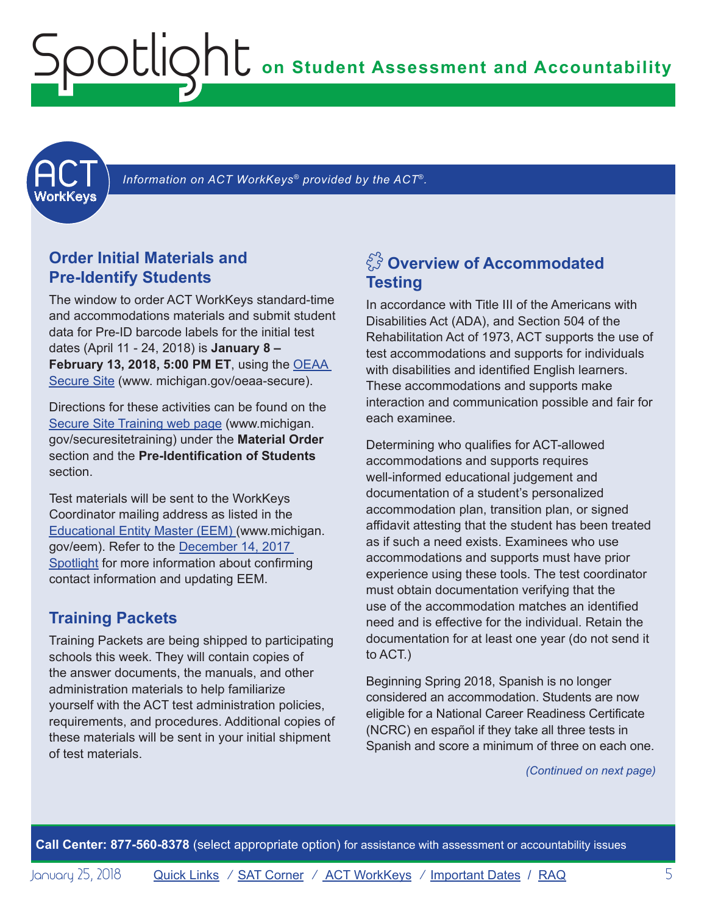**on Student Assessment and Accountability**



<span id="page-4-1"></span> *Information on ACT WorkKeys® provided by the ACT*®*.*

### **Order Initial Materials and Pre-Identify Students**

<span id="page-4-0"></span>potlic

The window to order ACT WorkKeys standard-time and accommodations materials and submit student data for Pre-ID barcode labels for the initial test dates (April 11 - 24, 2018) is **January 8 – February 13, 2018, 5:00 PM ET**, using the [OEAA](http://www.michigan.gov/oeaa-secure)  [Secure Site](http://www.michigan.gov/oeaa-secure) [\(www. michigan.gov/oeaa-secure](http://www.michigan.gov/oeaa-secure)).

Directions for these activities can be found on the [Secure Site Training web page](http://www.michigan.gov/securesitetraining) [\(www.michigan.](http://www.michigan.gov/securesitetraining) [gov/securesitetraining](http://www.michigan.gov/securesitetraining)) under the **Material Order** section and the **Pre-Identification of Students** section.

Test materials will be sent to the WorkKeys Coordinator mailing address as listed in the [Educational Entity Master \(EEM\) \(www.michigan.](www.michigan.gov/EEM) [gov/eem\)](www.michigan.gov/EEM). Refer to the [December 14, 2017](http://www.michigan.gov/documents/mde/Spotlight_12-14-17_608699_7.pdf)  [Spotlight](http://www.michigan.gov/documents/mde/Spotlight_12-14-17_608699_7.pdf) for more information about confirming contact information and updating EEM.

#### **Training Packets**

Training Packets are being shipped to participating schools this week. They will contain copies of the answer documents, the manuals, and other administration materials to help familiarize yourself with the ACT test administration policies, requirements, and procedures. Additional copies of these materials will be sent in your initial shipment of test materials.

## $\frac{2}{\sqrt{3}}$  Overview of Accommodated **Testing**

In accordance with Title III of the Americans with Disabilities Act (ADA), and Section 504 of the Rehabilitation Act of 1973, ACT supports the use of test accommodations and supports for individuals with disabilities and identified English learners. These accommodations and supports make interaction and communication possible and fair for each examinee.

Determining who qualifies for ACT-allowed accommodations and supports requires well-informed educational judgement and documentation of a student's personalized accommodation plan, transition plan, or signed affidavit attesting that the student has been treated as if such a need exists. Examinees who use accommodations and supports must have prior experience using these tools. The test coordinator must obtain documentation verifying that the use of the accommodation matches an identified need and is effective for the individual. Retain the documentation for at least one year (do not send it to ACT.)

Beginning Spring 2018, Spanish is no longer considered an accommodation. Students are now eligible for a National Career Readiness Certificate (NCRC) en español if they take all three tests in Spanish and score a minimum of three on each one.

*(Continued on next page)*

**Call Center: 877-560-8378** (select appropriate option) for assistance with assessment or accountability issues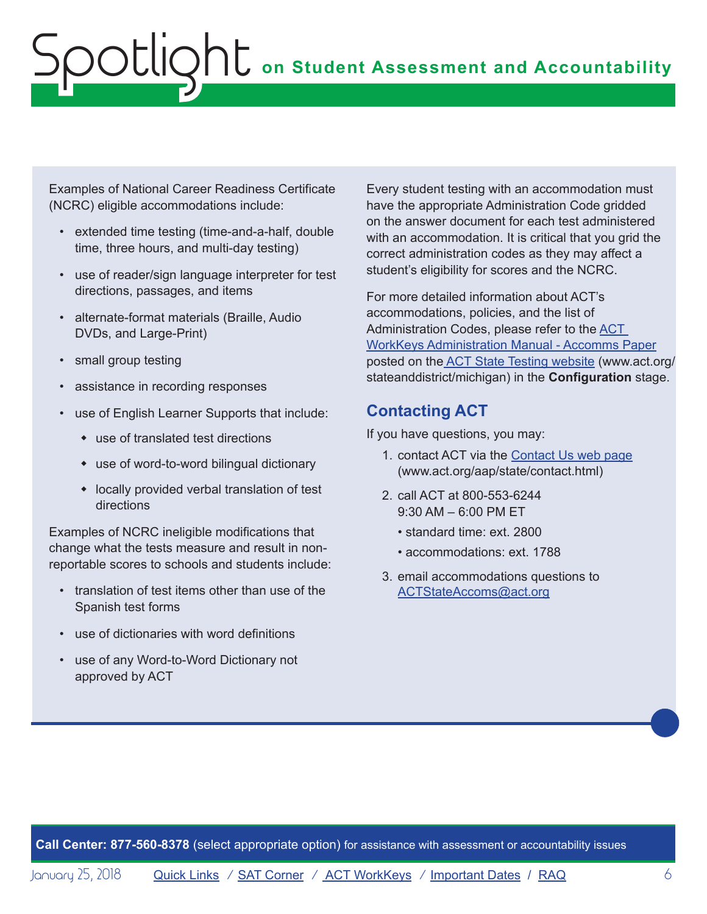Examples of National Career Readiness Certificate (NCRC) eligible accommodations include:

- extended time testing (time-and-a-half, double time, three hours, and multi-day testing)
- use of reader/sign language interpreter for test directions, passages, and items
- alternate-format materials (Braille, Audio DVDs, and Large-Print)
- small group testing
- assistance in recording responses
- use of English Learner Supports that include:
	- $\bullet$  use of translated test directions
	- $*$  use of word-to-word bilingual dictionary
	- $\bullet$  locally provided verbal translation of test directions

Examples of NCRC ineligible modifications that change what the tests measure and result in nonreportable scores to schools and students include:

- translation of test items other than use of the Spanish test forms
- use of dictionaries with word definitions
- use of any Word-to-Word Dictionary not approved by ACT

Every student testing with an accommodation must have the appropriate Administration Code gridded on the answer document for each test administered with an accommodation. It is critical that you grid the correct administration codes as they may affect a student's eligibility for scores and the NCRC.

For more detailed information about ACT's accommodations, policies, and the list of Administration Codes, please refer to the ACT [WorkKeys Administration Manual - Accomms Paper](http://www.act.org/content/dam/act/secured/documents/pdfs/WK-Admin-SD-Accoms-Secured.pdf#page=9) posted on th[e ACT State Testing website](http://www.act.org/stateanddistrict/michigan) ([www.act.org/](http://www.act.org/stateanddistrict/michigan) [stateanddistrict/michigan\)](http://www.act.org/stateanddistrict/michigan) in the **Configuration** stage.

### **Contacting ACT**

If you have questions, you may:

- 1. contact ACT via the [Contact Us web page](http://www.act.org/aap/state/contact.html) [\(www.act.org/aap/state/contact.html\)](www.act.org/aap/state/contact.html)
- 2. call ACT at 800-553-6244 9:30 AM – 6:00 PM ET
	- standard time: ext. 2800
	- accommodations: ext. 1788
- 3. email accommodations questions to [ACTStateAccoms@act.org](mailto:ACTStateAccoms%40act.org?subject=)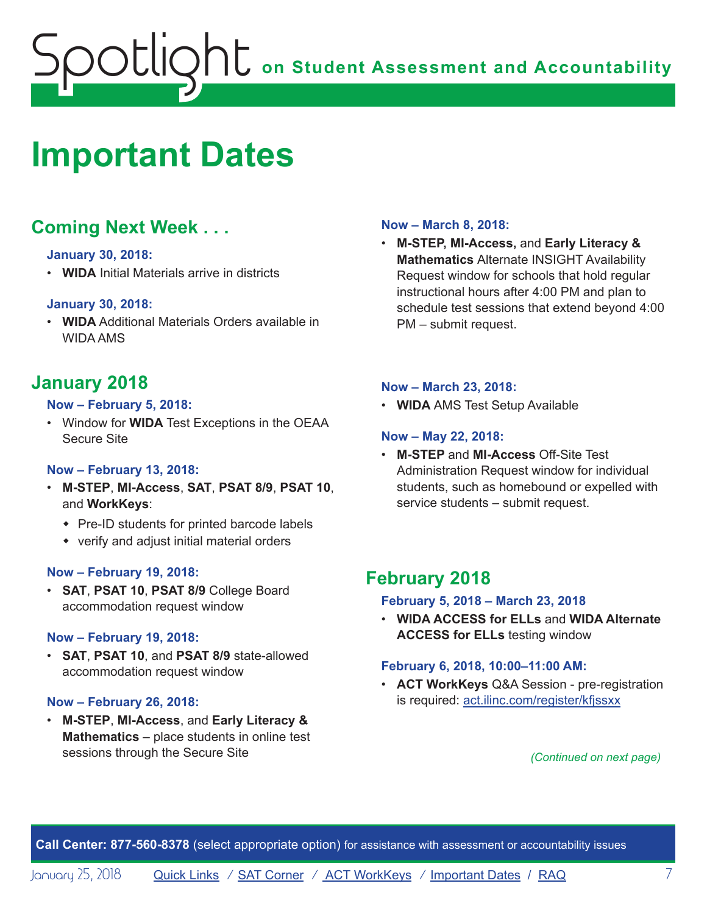# <span id="page-6-1"></span><span id="page-6-0"></span>**Important Dates**

# **Coming Next Week . . .**

#### **January 30, 2018:**

• **WIDA** Initial Materials arrive in districts

#### **January 30, 2018:**

• **WIDA** Additional Materials Orders available in WIDA AMS

# **January 2018**

#### **Now – February 5, 2018:**

• Window for **WIDA** Test Exceptions in the OEAA Secure Site

#### **Now – February 13, 2018:**

- **M-STEP**, **MI-Access**, **SAT**, **PSAT 8/9**, **PSAT 10**, and **WorkKeys**:
	- $\bullet$  Pre-ID students for printed barcode labels
	- $\bullet$  verify and adjust initial material orders

#### **Now – February 19, 2018:**

• **SAT**, **PSAT 10**, **PSAT 8/9** College Board accommodation request window

#### **Now – February 19, 2018:**

• **SAT**, **PSAT 10**, and **PSAT 8/9** state-allowed accommodation request window

#### **Now – February 26, 2018:**

• **M-STEP**, **MI-Access**, and **Early Literacy & Mathematics** – place students in online test sessions through the Secure Site

#### **Now – March 8, 2018:**

• **M-STEP, MI-Access,** and **Early Literacy & Mathematics** Alternate INSIGHT Availability Request window for schools that hold regular instructional hours after 4:00 PM and plan to schedule test sessions that extend beyond 4:00 PM – submit request.

#### **Now – March 23, 2018:**

• **WIDA** AMS Test Setup Available

#### **Now – May 22, 2018:**

• **M-STEP** and **MI-Access** Off-Site Test Administration Request window for individual students, such as homebound or expelled with service students – submit request.

## **February 2018**

#### **February 5, 2018 – March 23, 2018**

• **WIDA ACCESS for ELLs** and **WIDA Alternate ACCESS for ELLs** testing window

#### **February 6, 2018, 10:00–11:00 AM:**

• **ACT WorkKeys** Q&A Session - pre-registration is required: act.ilinc.com/register/kfjssxx

*(Continued on next page)*

**Call Center: 877-560-8378** (select appropriate option) for assistance with assessment or accountability issues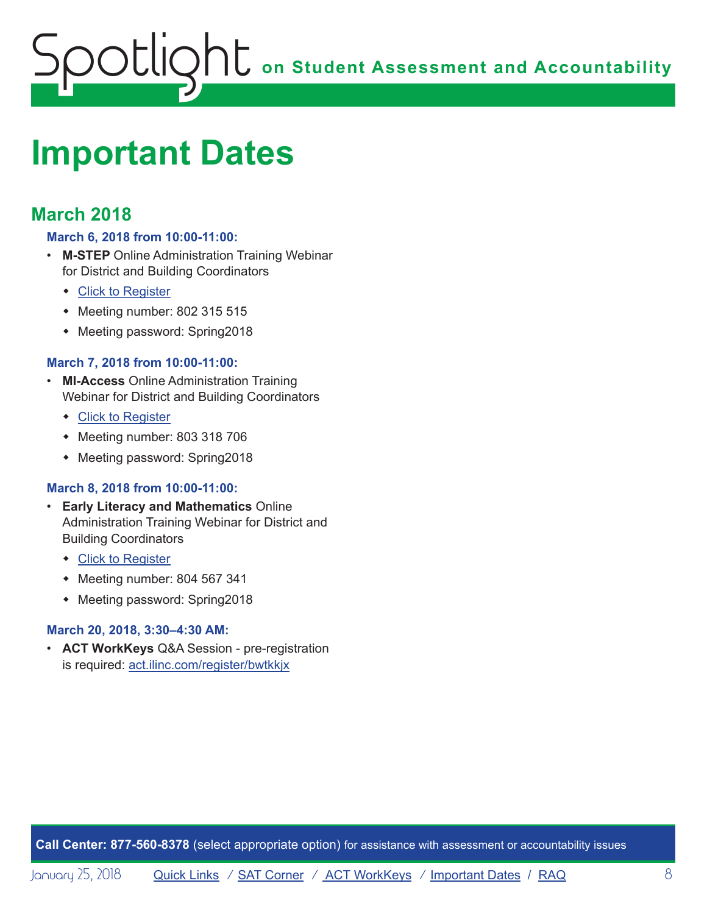# **on Student Assessment and Accountability** Spotlight

# **Important Dates**

# **March 2018**

#### **March 6, 2018 from 10:00-11:00:**

- **M-STEP** Online Administration Training Webinar for District and Building Coordinators
	- Click to Register
	- $\bullet$  Meeting number: 802 315 515
	- Meeting password: Spring2018

#### **March 7, 2018 from 10:00-11:00:**

- **MI-Access** Online Administration Training Webinar for District and Building Coordinators
	- Click to Register
	- $\bullet$  Meeting number: 803 318 706
	- Meeting password: Spring2018

#### **March 8, 2018 from 10:00-11:00:**

- **Early Literacy and Mathematics** Online Administration Training Webinar for District and Building Coordinators
	- Click to Register
	- $\bullet$  Meeting number: 804 567 341
	- Meeting password: Spring2018

#### **March 20, 2018, 3:30–4:30 AM:**

• **ACT WorkKeys** Q&A Session - pre-registration is required: act.ilinc.com/register/bwtkkjx